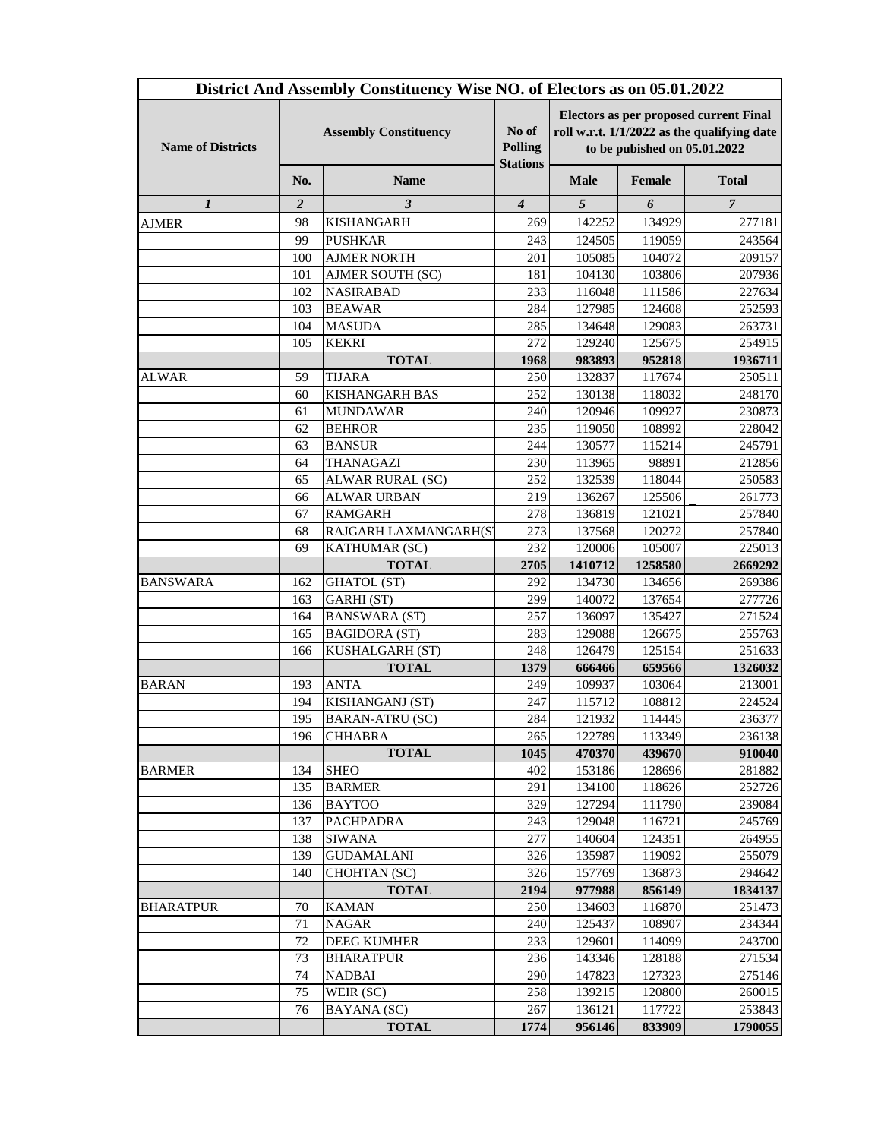|                          |                              | District And Assembly Constituency Wise NO. of Electors as on 05.01.2022 |                                            |                                                                                                                              |                  |                  |
|--------------------------|------------------------------|--------------------------------------------------------------------------|--------------------------------------------|------------------------------------------------------------------------------------------------------------------------------|------------------|------------------|
| <b>Name of Districts</b> | <b>Assembly Constituency</b> |                                                                          | No of<br><b>Polling</b><br><b>Stations</b> | <b>Electors as per proposed current Final</b><br>roll w.r.t. 1/1/2022 as the qualifying date<br>to be pubished on 05.01.2022 |                  |                  |
|                          | No.                          | <b>Name</b>                                                              |                                            | <b>Male</b>                                                                                                                  | Female           | <b>Total</b>     |
| 1                        | 2                            | 3                                                                        | $\overline{4}$                             | 5                                                                                                                            | 6                | $\overline{7}$   |
| <b>AJMER</b>             | 98                           | <b>KISHANGARH</b>                                                        | 269                                        | 142252                                                                                                                       | 134929           | 277181           |
|                          | 99                           | <b>PUSHKAR</b>                                                           | 243                                        | 124505                                                                                                                       | 119059           | 243564           |
|                          | 100                          | <b>AJMER NORTH</b>                                                       | 201                                        | 105085                                                                                                                       | 104072           | 209157           |
|                          | 101                          | AJMER SOUTH (SC)                                                         | 181                                        | 104130                                                                                                                       | 103806           | 207936           |
|                          | 102                          | <b>NASIRABAD</b>                                                         | 233                                        | 116048                                                                                                                       | 111586           | 227634           |
|                          | 103                          | <b>BEAWAR</b>                                                            | 284                                        | 127985                                                                                                                       | 124608           | 252593           |
|                          | 104                          | <b>MASUDA</b>                                                            | 285                                        | 134648                                                                                                                       | 129083           | 263731           |
|                          | 105                          | <b>KEKRI</b>                                                             | 272                                        | 129240                                                                                                                       | 125675           | 254915           |
|                          |                              | <b>TOTAL</b>                                                             | 1968                                       | 983893                                                                                                                       | 952818           | 1936711          |
| <b>ALWAR</b>             | 59                           | <b>TIJARA</b>                                                            | 250                                        | 132837                                                                                                                       | 117674           | 250511           |
|                          | 60                           | <b>KISHANGARH BAS</b>                                                    | 252                                        | 130138                                                                                                                       | 118032           | 248170           |
|                          | 61                           | <b>MUNDAWAR</b>                                                          | 240                                        | 120946                                                                                                                       | 109927           | 230873           |
|                          | 62                           | <b>BEHROR</b>                                                            | 235                                        | 119050                                                                                                                       | 108992           | 228042           |
|                          | 63                           | <b>BANSUR</b>                                                            | 244                                        | 130577                                                                                                                       | 115214           | 245791           |
|                          | 64                           | THANAGAZI                                                                | 230                                        | 113965                                                                                                                       | 98891            | 212856           |
|                          | 65                           | ALWAR RURAL (SC)                                                         | 252                                        | 132539                                                                                                                       | 118044           | 250583           |
|                          | 66                           | <b>ALWAR URBAN</b>                                                       | 219                                        | 136267                                                                                                                       | 125506           | 261773           |
|                          | 67                           | <b>RAMGARH</b>                                                           | 278                                        | 136819                                                                                                                       | 121021           | 257840           |
|                          | 68                           | RAJGARH LAXMANGARH(S'                                                    | 273                                        | 137568                                                                                                                       | 120272           | 257840           |
|                          | 69                           | KATHUMAR (SC)                                                            | 232                                        | 120006                                                                                                                       | 105007           | 225013           |
|                          |                              | <b>TOTAL</b>                                                             | 2705                                       | 1410712                                                                                                                      | 1258580          | 2669292          |
| <b>BANSWARA</b>          | 162                          | <b>GHATOL</b> (ST)                                                       | 292                                        | 134730                                                                                                                       | 134656           | 269386           |
|                          | 163                          | GARHI (ST)                                                               | 299                                        | 140072                                                                                                                       | 137654           | 277726           |
|                          | 164                          | <b>BANSWARA (ST)</b>                                                     | 257                                        | 136097                                                                                                                       | 135427           | 271524           |
|                          | 165                          | <b>BAGIDORA (ST)</b>                                                     | 283                                        | 129088                                                                                                                       | 126675           | 255763           |
|                          | 166                          | KUSHALGARH (ST)                                                          | 248                                        | 126479                                                                                                                       | 125154           | 251633           |
|                          |                              | <b>TOTAL</b>                                                             | 1379                                       | 666466                                                                                                                       | 659566           | 1326032          |
| <b>BARAN</b>             | 193                          | <b>ANTA</b>                                                              | 249                                        | 109937                                                                                                                       | 103064           | 213001           |
|                          | 194                          | KISHANGANJ (ST)                                                          | 247                                        | 115712                                                                                                                       | 108812           | 224524           |
|                          | 195                          | <b>BARAN-ATRU (SC)</b>                                                   | 284                                        | 121932                                                                                                                       | 114445           | 236377           |
|                          | 196                          | <b>CHHABRA</b>                                                           | 265                                        | 122789                                                                                                                       | 113349           | 236138           |
|                          |                              | <b>TOTAL</b>                                                             | 1045                                       | 470370                                                                                                                       | 439670           | 910040           |
| <b>BARMER</b>            | 134                          | <b>SHEO</b>                                                              | 402                                        | 153186                                                                                                                       | 128696           | 281882           |
|                          | 135                          | <b>BARMER</b>                                                            | 291                                        | 134100                                                                                                                       | 118626           | 252726           |
|                          | 136                          | <b>BAYTOO</b>                                                            | 329                                        | 127294                                                                                                                       | 111790           | 239084           |
|                          | 137                          | PACHPADRA                                                                | 243                                        | 129048                                                                                                                       | 116721           | 245769           |
|                          | 138                          | <b>SIWANA</b>                                                            | 277                                        | 140604                                                                                                                       | 124351           | 264955           |
|                          | 139                          | <b>GUDAMALANI</b>                                                        | 326                                        | 135987                                                                                                                       | 119092           | 255079           |
|                          | 140                          | CHOHTAN (SC)                                                             | 326                                        | 157769                                                                                                                       | 136873           | 294642           |
|                          |                              | <b>TOTAL</b>                                                             | 2194                                       | 977988                                                                                                                       | 856149           | 1834137          |
| <b>BHARATPUR</b>         | 70                           | <b>KAMAN</b>                                                             | 250                                        | 134603                                                                                                                       | 116870           | 251473           |
|                          | 71                           | <b>NAGAR</b>                                                             | 240                                        | 125437                                                                                                                       | 108907           | 234344           |
|                          | 72                           | <b>DEEG KUMHER</b>                                                       | 233                                        | 129601                                                                                                                       | 114099           | 243700           |
|                          | 73                           | <b>BHARATPUR</b>                                                         | 236                                        | 143346                                                                                                                       | 128188           | 271534           |
|                          | 74                           | <b>NADBAI</b>                                                            | 290                                        | 147823                                                                                                                       | 127323           | 275146           |
|                          | 75<br>76                     | WEIR (SC)                                                                | 258<br>267                                 | 139215                                                                                                                       | 120800<br>117722 | 260015<br>253843 |
|                          |                              | BAYANA (SC)<br><b>TOTAL</b>                                              | 1774                                       | 136121<br>956146                                                                                                             | 833909           | 1790055          |
|                          |                              |                                                                          |                                            |                                                                                                                              |                  |                  |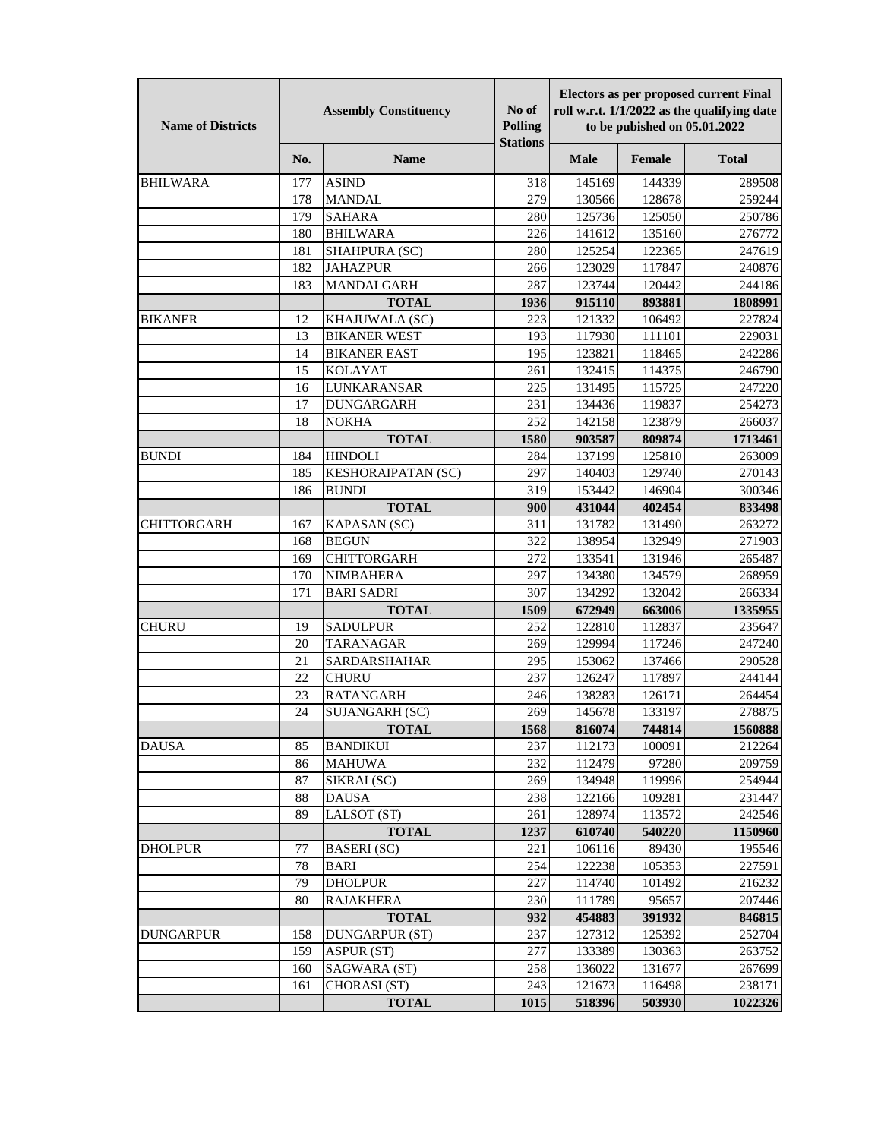| <b>Name of Districts</b> | <b>Assembly Constituency</b> |                           | No of<br>Polling<br><b>Stations</b> | <b>Electors as per proposed current Final</b><br>roll w.r.t. 1/1/2022 as the qualifying date<br>to be pubished on 05.01.2022 |        |              |
|--------------------------|------------------------------|---------------------------|-------------------------------------|------------------------------------------------------------------------------------------------------------------------------|--------|--------------|
|                          | No.                          | <b>Name</b>               |                                     | <b>Male</b>                                                                                                                  | Female | <b>Total</b> |
| <b>BHILWARA</b>          | 177                          | <b>ASIND</b>              | 318                                 | 145169                                                                                                                       | 144339 | 289508       |
|                          | 178                          | <b>MANDAL</b>             | 279                                 | 130566                                                                                                                       | 128678 | 259244       |
|                          | 179                          | <b>SAHARA</b>             | 280                                 | 125736                                                                                                                       | 125050 | 250786       |
|                          | 180                          | <b>BHILWARA</b>           | 226                                 | 141612                                                                                                                       | 135160 | 276772       |
|                          | 181                          | SHAHPURA (SC)             | 280                                 | 125254                                                                                                                       | 122365 | 247619       |
|                          | 182                          | <b>JAHAZPUR</b>           | 266                                 | 123029                                                                                                                       | 117847 | 240876       |
|                          | 183                          | MANDALGARH                | 287                                 | 123744                                                                                                                       | 120442 | 244186       |
|                          |                              | <b>TOTAL</b>              | 1936                                | 915110                                                                                                                       | 893881 | 1808991      |
| <b>BIKANER</b>           | 12                           | KHAJUWALA (SC)            | 223                                 | 121332                                                                                                                       | 106492 | 227824       |
|                          | 13                           | <b>BIKANER WEST</b>       | 193                                 | 117930                                                                                                                       | 111101 | 229031       |
|                          | 14                           | <b>BIKANER EAST</b>       | 195                                 | 123821                                                                                                                       | 118465 | 242286       |
|                          | 15                           | <b>KOLAYAT</b>            | 261                                 | 132415                                                                                                                       | 114375 | 246790       |
|                          | 16                           | LUNKARANSAR               | 225                                 | 131495                                                                                                                       | 115725 | 247220       |
|                          | 17                           | <b>DUNGARGARH</b>         | 231                                 | 134436                                                                                                                       | 119837 | 254273       |
|                          | 18                           | <b>NOKHA</b>              | 252                                 | 142158                                                                                                                       | 123879 | 266037       |
|                          |                              | <b>TOTAL</b>              | 1580                                | 903587                                                                                                                       | 809874 | 1713461      |
| <b>BUNDI</b>             | 184                          | <b>HINDOLI</b>            | 284                                 | 137199                                                                                                                       | 125810 | 263009       |
|                          | 185                          | <b>KESHORAIPATAN (SC)</b> | 297                                 | 140403                                                                                                                       | 129740 | 270143       |
|                          | 186                          | <b>BUNDI</b>              | 319                                 | 153442                                                                                                                       | 146904 | 300346       |
|                          |                              | <b>TOTAL</b>              | 900                                 | 431044                                                                                                                       | 402454 | 833498       |
| <b>CHITTORGARH</b>       | 167                          | KAPASAN (SC)              | 311                                 | 131782                                                                                                                       | 131490 | 263272       |
|                          | 168                          | <b>BEGUN</b>              | 322                                 | 138954                                                                                                                       | 132949 | 271903       |
|                          | 169                          | <b>CHITTORGARH</b>        | 272                                 | 133541                                                                                                                       | 131946 | 265487       |
|                          | 170                          | <b>NIMBAHERA</b>          | 297                                 | 134380                                                                                                                       | 134579 | 268959       |
|                          | 171                          | <b>BARI SADRI</b>         | 307                                 | 134292                                                                                                                       | 132042 | 266334       |
|                          |                              | <b>TOTAL</b>              | 1509                                | 672949                                                                                                                       | 663006 | 1335955      |
| <b>CHURU</b>             | 19                           | <b>SADULPUR</b>           | 252                                 | 122810                                                                                                                       | 112837 | 235647       |
|                          | 20                           | TARANAGAR                 | 269                                 | 129994                                                                                                                       | 117246 | 247240       |
|                          | 21                           | <b>SARDARSHAHAR</b>       | 295                                 | 153062                                                                                                                       | 137466 | 290528       |
|                          | 22                           | <b>CHURU</b>              | 237                                 | 126247                                                                                                                       | 117897 | 244144       |
|                          | 23                           | <b>RATANGARH</b>          | 246                                 | 138283                                                                                                                       | 126171 | 264454       |
|                          | 24                           | SUJANGARH (SC)            | 269                                 | 145678                                                                                                                       | 133197 | 278875       |
|                          |                              | <b>TOTAL</b>              | 1568                                | 816074                                                                                                                       | 744814 | 1560888      |
| <b>DAUSA</b>             | 85                           | <b>BANDIKUI</b>           | 237                                 | 112173                                                                                                                       | 100091 | 212264       |
|                          | 86                           | <b>MAHUWA</b>             | 232                                 | 112479                                                                                                                       | 97280  | 209759       |
|                          | 87                           | SIKRAI (SC)               | 269                                 | 134948                                                                                                                       | 119996 | 254944       |
|                          | 88                           | <b>DAUSA</b>              | 238                                 | 122166                                                                                                                       | 109281 | 231447       |
|                          | 89                           | LALSOT <sub>(ST)</sub>    | 261                                 | 128974                                                                                                                       | 113572 | 242546       |
|                          |                              | <b>TOTAL</b>              | 1237                                | 610740                                                                                                                       | 540220 | 1150960      |
| <b>DHOLPUR</b>           | 77                           | <b>BASERI</b> (SC)        | 221                                 | 106116                                                                                                                       | 89430  | 195546       |
|                          | 78                           | BARI                      | 254                                 | 122238                                                                                                                       | 105353 | 227591       |
|                          | 79                           | <b>DHOLPUR</b>            | 227                                 | 114740                                                                                                                       | 101492 | 216232       |
|                          | 80                           | <b>RAJAKHERA</b>          | 230                                 | 111789                                                                                                                       | 95657  | 207446       |
|                          |                              | <b>TOTAL</b>              | 932                                 | 454883                                                                                                                       | 391932 | 846815       |
| <b>DUNGARPUR</b>         | 158                          | <b>DUNGARPUR (ST)</b>     | 237                                 | 127312                                                                                                                       | 125392 | 252704       |
|                          | 159                          | <b>ASPUR (ST)</b>         | 277                                 | 133389                                                                                                                       | 130363 | 263752       |
|                          | 160                          | SAGWARA (ST)              | 258                                 | 136022                                                                                                                       | 131677 | 267699       |
|                          | 161                          | CHORASI (ST)              | 243                                 | 121673                                                                                                                       | 116498 | 238171       |
|                          |                              | <b>TOTAL</b>              | 1015                                | 518396                                                                                                                       | 503930 | 1022326      |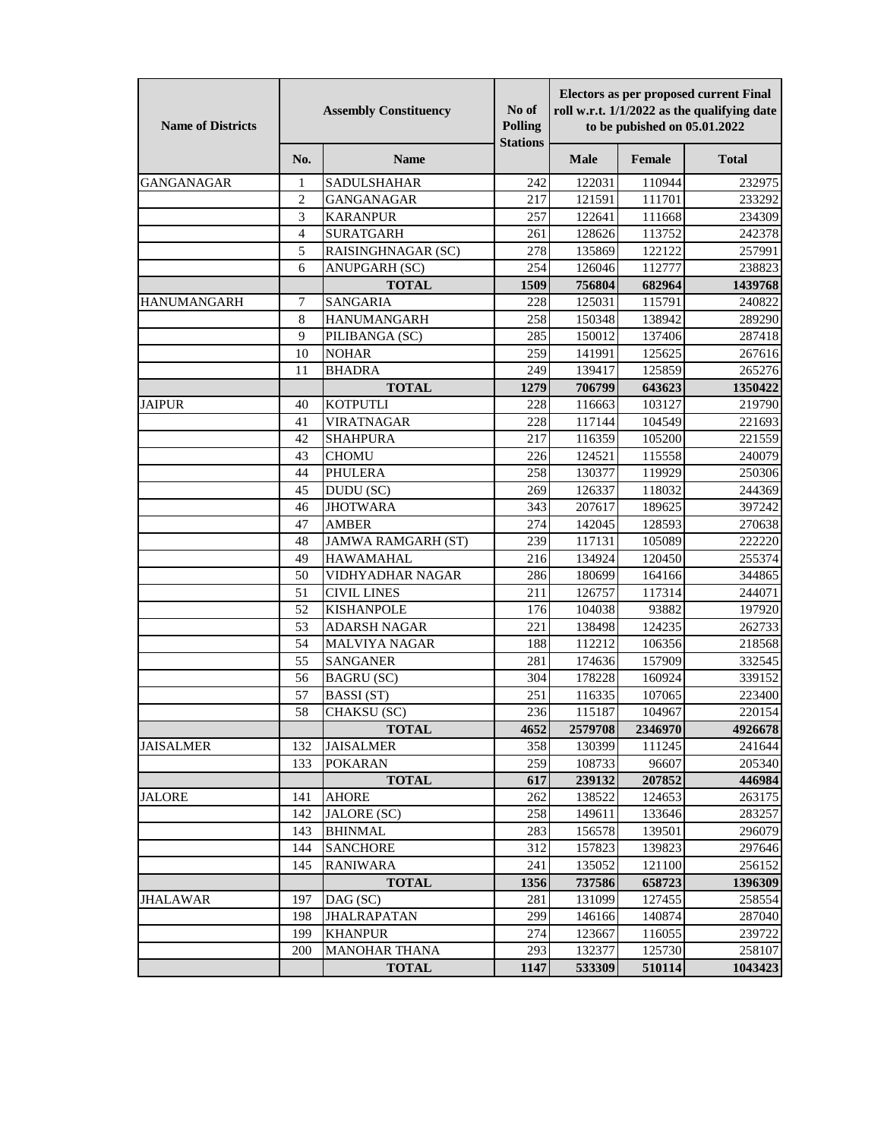| <b>Name of Districts</b> | <b>Assembly Constituency</b> |                           | No of<br>Polling<br><b>Stations</b> | <b>Electors as per proposed current Final</b><br>roll w.r.t. 1/1/2022 as the qualifying date<br>to be pubished on 05.01.2022 |         |              |
|--------------------------|------------------------------|---------------------------|-------------------------------------|------------------------------------------------------------------------------------------------------------------------------|---------|--------------|
|                          | No.                          | <b>Name</b>               |                                     | <b>Male</b>                                                                                                                  | Female  | <b>Total</b> |
| <b>GANGANAGAR</b>        | 1                            | <b>SADULSHAHAR</b>        | 242                                 | 122031                                                                                                                       | 110944  | 232975       |
|                          | $\overline{c}$               | <b>GANGANAGAR</b>         | 217                                 | 121591                                                                                                                       | 111701  | 233292       |
|                          | 3                            | <b>KARANPUR</b>           | 257                                 | 122641                                                                                                                       | 111668  | 234309       |
|                          | $\overline{4}$               | <b>SURATGARH</b>          | 261                                 | 128626                                                                                                                       | 113752  | 242378       |
|                          | 5                            | RAISINGHNAGAR (SC)        | 278                                 | 135869                                                                                                                       | 122122  | 257991       |
|                          | 6                            | <b>ANUPGARH (SC)</b>      | 254                                 | 126046                                                                                                                       | 112777  | 238823       |
|                          |                              | <b>TOTAL</b>              | 1509                                | 756804                                                                                                                       | 682964  | 1439768      |
| <b>HANUMANGARH</b>       | 7                            | <b>SANGARIA</b>           | 228                                 | 125031                                                                                                                       | 115791  | 240822       |
|                          | 8                            | <b>HANUMANGARH</b>        | 258                                 | 150348                                                                                                                       | 138942  | 289290       |
|                          | 9                            | PILIBANGA (SC)            | 285                                 | 150012                                                                                                                       | 137406  | 287418       |
|                          | 10                           | <b>NOHAR</b>              | 259                                 | 141991                                                                                                                       | 125625  | 267616       |
|                          | 11                           | <b>BHADRA</b>             | 249                                 | 139417                                                                                                                       | 125859  | 265276       |
|                          |                              | <b>TOTAL</b>              | 1279                                | 706799                                                                                                                       | 643623  | 1350422      |
| <b>JAIPUR</b>            | 40                           | <b>KOTPUTLI</b>           | 228                                 | 116663                                                                                                                       | 103127  | 219790       |
|                          | 41                           | <b>VIRATNAGAR</b>         | 228                                 | 117144                                                                                                                       | 104549  | 221693       |
|                          | 42                           | <b>SHAHPURA</b>           | 217                                 | 116359                                                                                                                       | 105200  | 221559       |
|                          | 43                           | <b>CHOMU</b>              | 226                                 | 124521                                                                                                                       | 115558  | 240079       |
|                          | 44                           | <b>PHULERA</b>            | 258                                 | 130377                                                                                                                       | 119929  | 250306       |
|                          | 45                           | DUDU (SC)                 | 269                                 | 126337                                                                                                                       | 118032  | 244369       |
|                          | 46                           | <b>JHOTWARA</b>           | 343                                 | 207617                                                                                                                       | 189625  | 397242       |
|                          | 47                           | <b>AMBER</b>              | 274                                 | 142045                                                                                                                       | 128593  | 270638       |
|                          | 48                           | <b>JAMWA RAMGARH (ST)</b> | 239                                 | 117131                                                                                                                       | 105089  | 222220       |
|                          | 49                           | <b>HAWAMAHAL</b>          | 216                                 | 134924                                                                                                                       | 120450  | 255374       |
|                          | 50                           | VIDHYADHAR NAGAR          | 286                                 | 180699                                                                                                                       | 164166  | 344865       |
|                          | 51                           | <b>CIVIL LINES</b>        | 211                                 | 126757                                                                                                                       | 117314  | 244071       |
|                          | 52                           | <b>KISHANPOLE</b>         | 176                                 | 104038                                                                                                                       | 93882   | 197920       |
|                          | 53                           | <b>ADARSH NAGAR</b>       | 221                                 | 138498                                                                                                                       | 124235  | 262733       |
|                          | 54                           | <b>MALVIYA NAGAR</b>      | 188                                 | 112212                                                                                                                       | 106356  | 218568       |
|                          | 55                           | <b>SANGANER</b>           | 281                                 | 174636                                                                                                                       | 157909  | 332545       |
|                          | 56                           | <b>BAGRU</b> (SC)         | 304                                 | 178228                                                                                                                       | 160924  | 339152       |
|                          | 57                           | <b>BASSI</b> (ST)         | 251                                 | 116335                                                                                                                       | 107065  | 223400       |
|                          | 58                           | CHAKSU (SC)               | 236                                 | 115187                                                                                                                       | 104967  | 220154       |
|                          |                              | <b>TOTAL</b>              | 4652                                | 2579708                                                                                                                      | 2346970 | 4926678      |
| <b>JAISALMER</b>         | 132                          | <b>JAISALMER</b>          | 358                                 | 130399                                                                                                                       | 111245  | 241644       |
|                          | 133                          | <b>POKARAN</b>            | 259                                 | 108733                                                                                                                       | 96607   | 205340       |
|                          |                              | <b>TOTAL</b>              | 617                                 | 239132                                                                                                                       | 207852  | 446984       |
| JALORE                   | 141                          | <b>AHORE</b>              | 262                                 | 138522                                                                                                                       | 124653  | 263175       |
|                          | 142                          | <b>JALORE</b> (SC)        | 258                                 | 149611                                                                                                                       | 133646  | 283257       |
|                          | 143                          | <b>BHINMAL</b>            | 283                                 | 156578                                                                                                                       | 139501  | 296079       |
|                          | 144                          | <b>SANCHORE</b>           | 312                                 | 157823                                                                                                                       | 139823  | 297646       |
|                          | 145                          | <b>RANIWARA</b>           | 241                                 | 135052                                                                                                                       | 121100  | 256152       |
|                          |                              | <b>TOTAL</b>              | 1356                                | 737586                                                                                                                       | 658723  | 1396309      |
| JHALAWAR                 | 197                          | DAG (SC)                  | 281                                 | 131099                                                                                                                       | 127455  | 258554       |
|                          | 198                          | JHALRAPATAN               | 299                                 | 146166                                                                                                                       | 140874  | 287040       |
|                          | 199                          | <b>KHANPUR</b>            | 274                                 | 123667                                                                                                                       | 116055  | 239722       |
|                          | 200                          | <b>MANOHAR THANA</b>      | 293                                 | 132377                                                                                                                       | 125730  | 258107       |
|                          |                              | <b>TOTAL</b>              | 1147                                | 533309                                                                                                                       | 510114  | 1043423      |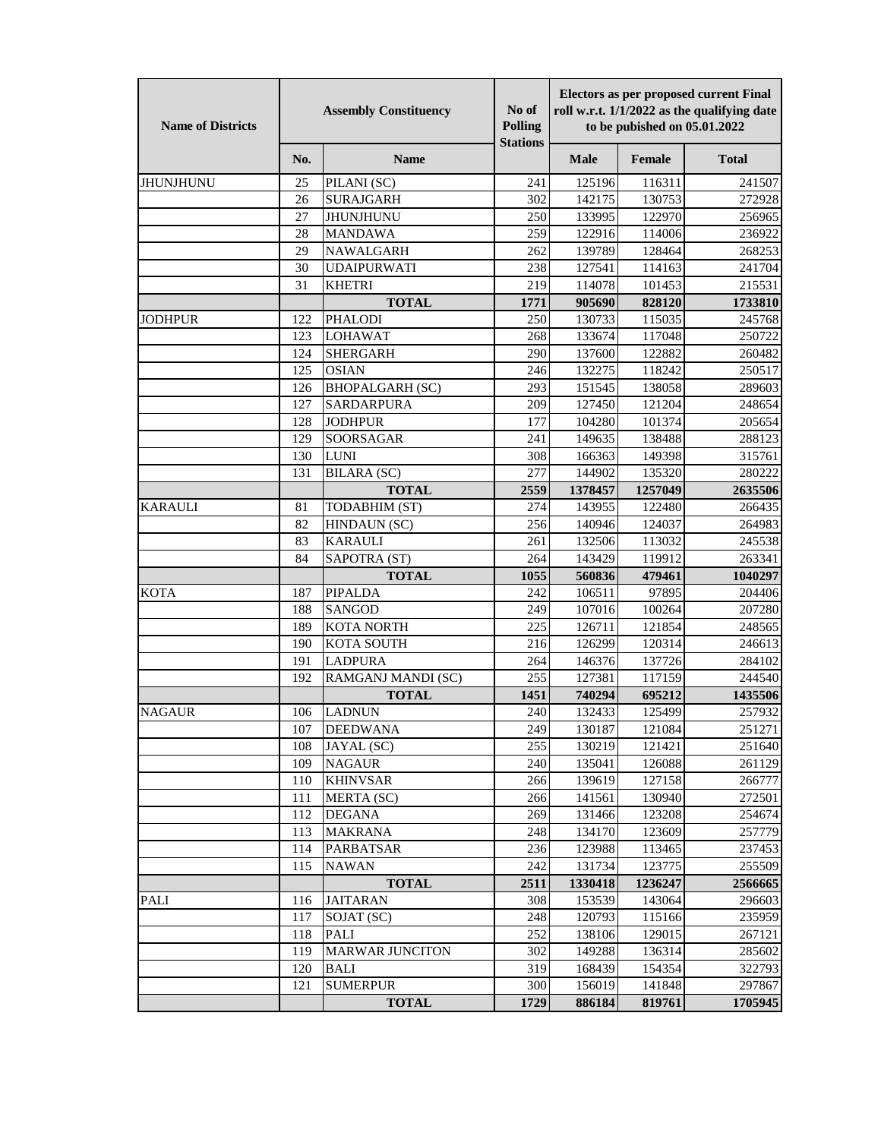| <b>Name of Districts</b> | <b>Assembly Constituency</b> |                                     | No of<br>Polling<br><b>Stations</b> | <b>Electors as per proposed current Final</b><br>roll w.r.t. 1/1/2022 as the qualifying date<br>to be pubished on 05.01.2022 |                  |                  |
|--------------------------|------------------------------|-------------------------------------|-------------------------------------|------------------------------------------------------------------------------------------------------------------------------|------------------|------------------|
|                          | No.                          | <b>Name</b>                         |                                     | <b>Male</b>                                                                                                                  | Female           | <b>Total</b>     |
| <b>JHUNJHUNU</b>         | 25                           | PILANI (SC)                         | 241                                 | 125196                                                                                                                       | 116311           | 241507           |
|                          | 26                           | <b>SURAJGARH</b>                    | 302                                 | 142175                                                                                                                       | 130753           | 272928           |
|                          | 27                           | <b>JHUNJHUNU</b>                    | 250                                 | 133995                                                                                                                       | 122970           | 256965           |
|                          | 28                           | <b>MANDAWA</b>                      | 259                                 | 122916                                                                                                                       | 114006           | 236922           |
|                          | 29                           | NAWALGARH                           | 262                                 | 139789                                                                                                                       | 128464           | 268253           |
|                          | 30                           | <b>UDAIPURWATI</b>                  | 238                                 | 127541                                                                                                                       | 114163           | 241704           |
|                          | 31                           | <b>KHETRI</b>                       | 219                                 | 114078                                                                                                                       | 101453           | 215531           |
|                          |                              | <b>TOTAL</b>                        | 1771                                | 905690                                                                                                                       | 828120           | 1733810          |
| <b>JODHPUR</b>           | 122                          | <b>PHALODI</b>                      | 250                                 | 130733                                                                                                                       | 115035           | 245768           |
|                          | 123                          | <b>LOHAWAT</b>                      | 268                                 | 133674                                                                                                                       | 117048           | 250722           |
|                          | 124                          | <b>SHERGARH</b>                     | 290                                 | 137600                                                                                                                       | 122882           | 260482           |
|                          | 125                          | <b>OSIAN</b>                        | 246                                 | 132275                                                                                                                       | 118242           | 250517           |
|                          | 126                          | <b>BHOPALGARH (SC)</b>              | 293                                 | 151545                                                                                                                       | 138058           | 289603           |
|                          | 127                          | <b>SARDARPURA</b>                   | 209                                 | 127450                                                                                                                       | 121204           | 248654           |
|                          | 128                          | <b>JODHPUR</b>                      | 177                                 | 104280                                                                                                                       | 101374           | 205654           |
|                          | 129                          | SOORSAGAR                           | 241                                 | 149635                                                                                                                       | 138488           | 288123           |
|                          | 130                          | <b>LUNI</b>                         | 308                                 | 166363                                                                                                                       | 149398           | 315761           |
|                          | 131                          | <b>BILARA</b> (SC)                  | 277                                 | 144902                                                                                                                       | 135320           | 280222           |
|                          |                              | <b>TOTAL</b>                        | 2559                                | 1378457                                                                                                                      | 1257049          | 2635506          |
| <b>KARAULI</b>           | 81                           | TODABHIM (ST)                       | 274                                 | 143955                                                                                                                       | 122480           | 266435           |
|                          | 82                           | HINDAUN (SC)                        | 256                                 | 140946                                                                                                                       | 124037           | 264983           |
|                          | 83                           | <b>KARAULI</b>                      | 261                                 | 132506                                                                                                                       | 113032           | 245538           |
|                          | 84                           | SAPOTRA (ST)                        | 264                                 | 143429                                                                                                                       | 119912           | 263341           |
|                          |                              | <b>TOTAL</b>                        | 1055                                | 560836                                                                                                                       | 479461           | 1040297          |
| <b>KOTA</b>              | 187                          | PIPALDA                             | 242                                 | 106511                                                                                                                       | 97895            | 204406           |
|                          | 188                          | <b>SANGOD</b>                       | 249                                 | 107016                                                                                                                       | 100264           | 207280           |
|                          | 189<br>190                   | <b>KOTA NORTH</b>                   | 225                                 | 126711                                                                                                                       | 121854<br>120314 | 248565           |
|                          | 191                          | <b>KOTA SOUTH</b><br><b>LADPURA</b> | 216<br>264                          | 126299                                                                                                                       | 137726           | 246613<br>284102 |
|                          | 192                          | RAMGANJ MANDI (SC)                  | $25\overline{5}$                    | 146376<br>127381                                                                                                             | 117159           | 244540           |
|                          |                              | <b>TOTAL</b>                        | 1451                                | 740294                                                                                                                       | 695212           | 1435506          |
| <b>NAGAUR</b>            | 106                          | <b>LADNUN</b>                       | 240                                 | 132433                                                                                                                       | 125499           | 257932           |
|                          | 107                          | <b>DEEDWANA</b>                     | 249                                 | 130187                                                                                                                       | 121084           | 251271           |
|                          | 108                          | JAYAL (SC)                          | 255                                 | 130219                                                                                                                       | 121421           | 251640           |
|                          | 109                          | <b>NAGAUR</b>                       | 240                                 | 135041                                                                                                                       | 126088           | 261129           |
|                          | 110                          | <b>KHINVSAR</b>                     | 266                                 | 139619                                                                                                                       | 127158           | 266777           |
|                          | 111                          | MERTA (SC)                          | 266                                 | 141561                                                                                                                       | 130940           | 272501           |
|                          | 112                          | <b>DEGANA</b>                       | 269                                 | 131466                                                                                                                       | 123208           | 254674           |
|                          | 113                          | <b>MAKRANA</b>                      | 248                                 | 134170                                                                                                                       | 123609           | 257779           |
|                          | 114                          | <b>PARBATSAR</b>                    | 236                                 | 123988                                                                                                                       | 113465           | 237453           |
|                          | 115                          | <b>NAWAN</b>                        | 242                                 | 131734                                                                                                                       | 123775           | 255509           |
|                          |                              | <b>TOTAL</b>                        | 2511                                | 1330418                                                                                                                      | 1236247          | 2566665          |
| <b>PALI</b>              | 116                          | <b>JAITARAN</b>                     | 308                                 | 153539                                                                                                                       | 143064           | 296603           |
|                          | 117                          | SOJAT (SC)                          | 248                                 | 120793                                                                                                                       | 115166           | 235959           |
|                          | 118                          | PALI                                | 252                                 | 138106                                                                                                                       | 129015           | 267121           |
|                          | 119                          | <b>MARWAR JUNCITON</b>              | 302                                 | 149288                                                                                                                       | 136314           | 285602           |
|                          | 120                          | <b>BALI</b>                         | 319                                 | 168439                                                                                                                       | 154354           | 322793           |
|                          | 121                          | <b>SUMERPUR</b>                     | 300                                 | 156019                                                                                                                       | 141848           | 297867           |
|                          |                              | <b>TOTAL</b>                        | 1729                                | 886184                                                                                                                       | 819761           | 1705945          |